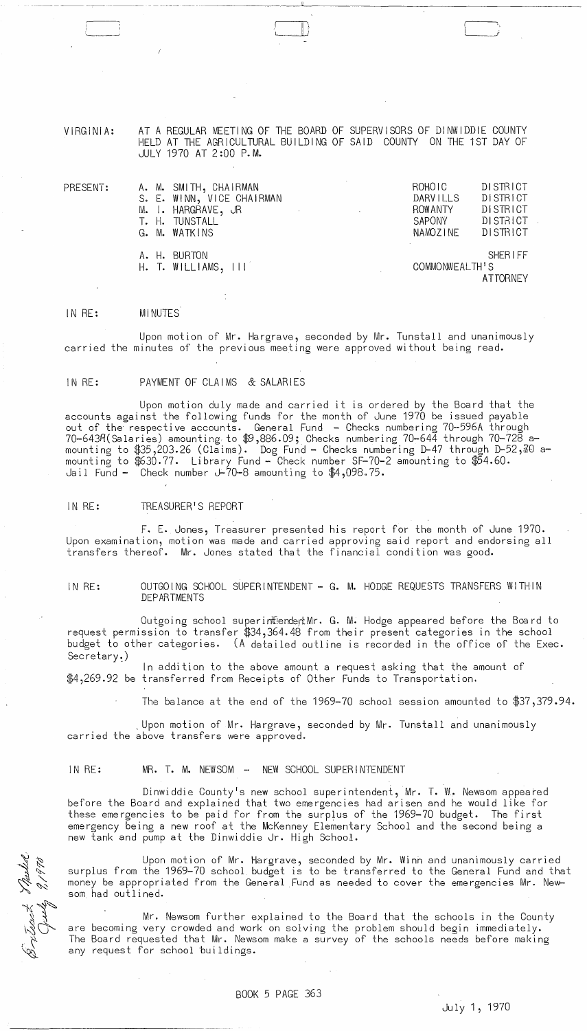VIRGINIA: AT A REGULAR MEETING OF THE BOARD OF SUPERVISORS OF DINWIDDIE COUNTY HELD AT THE AGRICULTURAL BUILDING OF SAID COUNTY ON THE 1ST DAY OF JULY 1970 AT 2:00 P.M.

~~~--~---- --------- -- ~~-.~-- ---~- -------~----''------------------------

II )

| A. M. SMITH, CHAIRMAN<br>S. E. WINN, VICE CHAIRMAN<br>M. I. HARGRAVE, JR<br>$\mathcal{L}^{\text{max}}_{\text{max}}$ and $\mathcal{L}^{\text{max}}_{\text{max}}$<br>the control of the state of the<br>T. H. TUNSTALL<br>G. M. WATKINS | ROHOIC<br><b>DARVILLS</b><br><b>ROWANTY</b><br>SAPONY<br><b>NAMOZINE</b> | DISTRICT<br><b>DISTRICT</b><br>DISTRICT<br>DISTRICT<br>DISTRICT |
|---------------------------------------------------------------------------------------------------------------------------------------------------------------------------------------------------------------------------------------|--------------------------------------------------------------------------|-----------------------------------------------------------------|
| A. H. BURTON<br>H. T. WILLIAMS, III                                                                                                                                                                                                   | COMMONWEALTH'S                                                           | <b>SHERIFF</b><br>AT TORNEY                                     |

#### IN RE: **MINUTES**

/

PRESENT:

Upon motion of Mr. Hargrave, seconded by Mr. Tunstall and unanimously carried the minutes of the previous meeting were approved without being read.

# IN RE: PAYMENT OF CLAIMS & SALARIES

Upon motion duly made and carried it is ordered by the Board that the accounts against the following funds for the month of June 1970 be issued payable out of the respecti ve accounts. General Fund - Checks numberi ng 70--596A through 70-643R(Salaries) amounting to \$9,886.09; Checks numbering 70-644 through 70-728 amounting to \$35,203.26 (Claims). Dog Fund - Checks numbering D-47 through D-52, TO amounting to  $$30.77$ . Library Fund - Check number SF-70-2 amounting to  $$54.60$ . Jail Fund - Check number  $J-70-8$  amounting to  $$4,098.75$ .

#### IN RE: TREASURER'S REPORT

F. E. Jones, Treasurer presented his report for the month of June 1970. Upon examination, motion was made and carried approving said report and endorsing all transfers thereof. Mr. Jones stated that the financial condition was good.

IN RE: OUTGOING SCHOOL SUPERINTENDENT - G. M. HODGE REQUESTS TRANSFERS WITHIN DEP AR TMENTS

Outgoing school superintendentMr. G. M. Hodge appeared before the Board to request permission to transfer \$34,364.48 from their present categories in the school budget to other categories. (A detailed outline is recorded in the office of the Exec. Secretary~)

In addition to the above amount a request asking that the amount of \$4,269.92 be transferred from Receipts of Other Funds to Transportation.

The balance at the end of the 1969-70 school session amounted to \$37,379.94.

. Upon motion of Mr. Hargrave, seconded by Mr. Tunstall and unanimously carried the above transfers were approved.

 $\sim 10^{-1}$ 

## IN RE: MR. T. M. NEWSOM - NEW SCHOOL SUPERINTENDENT

Dinwiddie County's new school superintendent, Mr. T. W. Newsom appeared before the Board and explained that two emergencies had arisen and he would like for these emergencies to be paid for from the surplus of the 1969-70 budget. The first emergency being a new roof at the McKenney Elementary School and the second being a new tank and pump at the Dinwiddie Jr. High School.

Upon motion of Mr. Hargrave, seconded by Mr. Winh and unanimously carried surplus from the 1969-70 school budget is to be transferred to the General Fund and that money be appropriated from the General Fund as needed to cover the emergencies Mr. Newsom had outlined.

Mr. Newsom further explained to the Board that the schools in the County are becoming very crowded and work on solving the problem should begin immediately. The Board requested that Mr. Newsom make a survey of the schools needs before making any request for school buildings.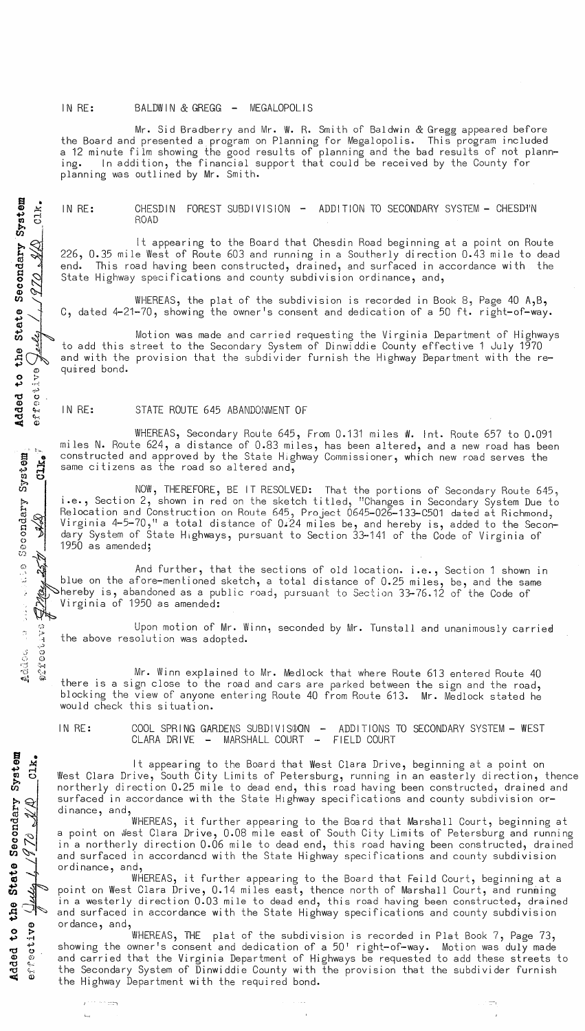## IN RE: BALDWIN & GREGG - MEGALOPOLIS

Mr. Sid Bradberry and Mr. W. R. Smith of Baldwin & Gregg appeared before the Board and presented a program on Planning for Megalopolis. This program included a 12 minute film showing the good results of planning and the bad results of not plann-<br>ing. In addition, the financial support that could be received by the County for In addition, the financial support that could be received by the County for planning was outlined by Mr. Smith.

IN RE: CHESDIN FOREST SUBDIVISION - ADDITION TO SECONDARY SYSTEM - CHESDIN ROAD

It appearing to the Board that Chesdin Road beginning at a point on Route 226, 0.35 mile West of Route 603 and running in a Southerly direction 0.43 mile to dead end. This road having been constructed, drained, and surfaced in accordance with the State Highway specifications and county subdivision ordinance, and,

WHEREAS, the plat of the subdivision is recorded in Book 8, Page 40 A, B, C, dated 4-21-70, showing the owner's consent and dedication of a 50 ft. right-of-way.

Motion was made and carried requesting the Virginia Department of Highways to add this street to the Secondary System of Dinwiddie County effective 1 July 1970 and with the provision that the subdivider furnish the Highway Department with the required bond.

## IN RE: STATE ROUTE 645 ABANDONMENT OF

WHEREAS, Secondary Route 645, From 0.131 miles W. Int. Route 657 to 0.091 miles N. Route 624, a distance of 0.83 miles, has been altered, and a new road has been constructed and approved by the State Highway Commissioner, which new road serves the same citizens as the road so altered and,

NOW, THEREFORE, BE IT RESOLVED: That the portions of Secondary Route 645, i.e., Section 2, shown in red on the sketch titled, "Changes in Secondary System Due to Relocation and Construction on Route 645, Project 0645-026-133-C501 dated at Richmond,<br>Virginia 4-5-70," a total distance of 0.24 miles be, and hereby is, added to the Second<br>dary System of State Highways, pursuant to Sect Virginia 4-5-70," a total distance of 0.24 miles be, and hereby is, added to the Secondary System of State Highways, pursuant to Section 33-141 of the Code of Virginia of 1950 as amended;

 $\mathbb{R}^4$  And further, that the sections of old location. i.e., Section 1 shown in blue on the afore-mentioned sketch, a total distance of 0.25 miles, be, and the same<br>hereby is, abandoned as a public road, pursuant to Section 33-76.12 of the Code of Virginia of 1950 as amended:

Upon motion of Mr. Winn, seconded by Mr. Tunstall and unanimously carried the above resolution was adopted.

Mr. Winn explained to Mr. Medlock that where Route 613 entered Route 40 there is a sign close to the road and cars are parked between the sign and the road, blocking the view of anyone entering Route 40 from Route 613. Mr. Medlock stated he would check this situation.

IN RE: COOL SPRING GARDENS SUBDIVIS\$ON - ADDITIONS TO SECONDARY SYSTEM - WEST CLARA DRIVE - MARSHALL COURT - FIELD COURT

It appearing to the Board that West Clara Drive, beginning at a point on West Clara Drive, South City Limits of Petersburg, running in an easterly direction, thence northerly direction 0.25 mile to dead end, this road having been constructed, drained and surfaced in accordance with the State Highway specifications and county subdivision ordinance, and,

WHEREAS, it further appearing to the Board that Marshall Court, beginning at a point on West Clara Drive, 0.08 mile east of South City Limits of Petersburg and running in a northerly direction 0.06 mile to dead end, this road having been constructed, drained and surfaced in accordancd with the State Highway specifications and county subdivision ordinance, and,

 $rac{3}{2}$ WHEREAS, it further appearing to the Board that Feild Court, beginning at a point on West Clara Drive, 0.14 miles east, thence north of Marshall Court, and runming in a westerly direction 0.03 mile to dead end, this road having been constructed, drained and surfaced in accordance with the State Highway specifications and county subdivision ordance, and,

WHEREAS, THE plat of the subdivision is recorded in Plat Book 7, Page 73, showing the owner's consent and dedication of a 50' right-of-way. Motion was duly made and carried that the Virginia Department of Highways be requested to add these streets to the Secondary System of Dinwiddie County with the provision that the subdivider furnish the Highway Department with the required bond.

 $\delta$ condary  $~\frac{1}{\sqrt{2}}$  ,  $~\frac{1}{\sqrt{2}}$  ,  $~\frac{1}{\sqrt{2}}$  ,  $~\frac{1}{\sqrt{2}}$  ,  $~\frac{1}{\sqrt{2}}$  ,  $~\frac{1}{\sqrt{2}}$  ,  $~\frac{1}{\sqrt{2}}$  ,  $~\frac{1}{\sqrt{2}}$  ,  $~\frac{1}{\sqrt{2}}$  ,  $~\frac{1}{\sqrt{2}}$  ,  $~\frac{1}{\sqrt{2}}$  ,  $~\frac{1}{\sqrt{2}}$  ,  $~\frac{1}{\sqrt{2}}$  ,  $~\frac{1}{\sqrt{2}}$ (J) 0 " ..- +> *or"':*  ~.:..) Added<br>effec  $\mathfrak{s}$  ,  $\mathfrak{h}$  is S e (j) <sup>~</sup>  $^{5}_{6}$   $^{12}_{10}$  $\Delta$  $\Delta d$  define  $^{\circ}_{2.177,0.037}$ '-~

a • ቱ<br>ከ<br>አ ธร*ั*ช<br>เว

 $\frac{1}{2}$  condary

O

 $\frac{1}{\sqrt{2}}$ 

Added to<br>errective

 $e^{+\frac{1}{2}+\frac{1}{2}+\frac{1}{2}}$ 

 $\mathbf{t}_{\text{out}}$ 

+>

a •  $\frac{1}{2}$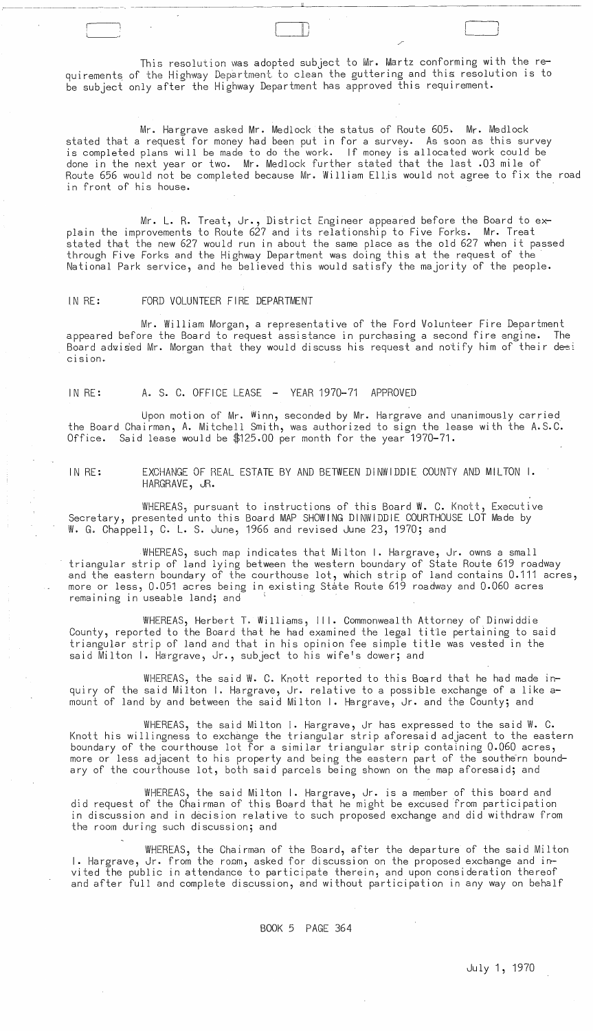This resolution was adopted subject to Mr. Martz conforming with the requirements of the Highway Department to clean the guttering and this resolution is to be subject only after the Highway Department has approved this requirement.

 $\Box$  .

Mr. Hargrave asked Mr. Medlock the status of Route 605. Mr. Medlock stated that a request for money had been put in for a survey. As soon as this survey is completed plans will be made to do the work. If money is allocated work could be done in the next year or two. Mr. Medlock further stated that the last .03 mile of Route 656 would not be completed because Mr. William Ellis would not agree to fix the road in front of his house.

Mr. L. R. Treat, Jr., District Engineer appeared before the Board to explain the improvements to Route 627 and its relationship to Five Forks. Mr. Treat stated that the new 627 would run in about the same place as the old 627 when it passed through Five Forks and the Highway Department was doing this at the request of the' National Park service, and he believed this would satisfy the majority of the people.

### IN RE: FORD VOLUNTEER FIRE DEPARTMENT

Mr. William Morgan, a representative of the Ford Volunteer Fire Department appeared before the Board to request assistance in purchasing a second fire engine. The Board adxised Mr. Morgan that they would discuss his request and notify him of their desi CISlon ..

## IN RE: A. S. C. OFFICE LEASE - YEAR 1970-71 APPROVED

Upon motion of Mr. Winn, seconded by Mr. Hargrave and unanimously carried the Board Chairman, A. Mitchell Smith, was authorized to sign the lease with the A.S.C. Office. Said lease would be \$125.00 per month for the year 1970-71.

IN RE: EXCHANGE OF REAL ESTATE BY AND BETWEEN DINWIDDIE COUNTY AND MILTON I. HARGRAVE, JR.

WHEREAS, pursuant to instructions of this Board W. C. Knott, Executive Secretary, presented unto this Board MAP SHOWING DINWIDDIE COURTHOUSE LOT Made by W. G. Chappell, C. L. S. June, 1966 and revised June 23, 1970; and

WHEREAS, such map indicates that Milton I. Hargrave, Jr. owns a small triangular strip of land lying between the western boundary of State Route 619 roadway and the eastern boundary of the courthouse lot, which strip of land contains 0.111 acres, more or less, 0.051 acres being in existing state Route 619 roadway and 0.060 acres remaining in useable land; and

WHEREAS, Herbert T. Williams, III. Commonwealth Attorney of Dinwiddie County, reported to the Board that he had examined the legal title pertaining to said triangular strip of land and that in his opinion fee simple title was vested in the said Milton I. Hargrave, Jr., subject to his wife's dower; and

WHEREAS, the said W. C. Knott reported to this Board that he had made inquiry of the said Milton I. Hargrave, Jr. relative to a possible exchange of a like amount of land by and between the said Milton I. Hargrave, Jr. and the County; and

WHEREAS, the said Milton I. Hargrave, Jr has expressed to the said W. C. Knott his willingness to exchange the triangular strip aforesaid adjacent to the eastern boundary of the courthouse lot for a similar triangular strip containing 0.060 acres, more or less adjacent to his property and being the eastern part of the southern boundary of the courthouse lot, both said parcels being shown on the map aforesaid; and

WHEREAS, the said Milton I. Hargrave, Jr. is a member of this board and did request of the Chairman of this Board that he might be excused from participation in discussion and in decision relative to such proposed exchange and did withdraw from the room during such discussion; and

WHEREAS, the Chairman of the Board, after the departure of the said Milton I. Hargrave, Jr. from the room, asked for discussion on the proposed exchange and invited the public in attendance to participate therein, and upon consideration thereof and after full and complete discussion, and without participation in any way on behalf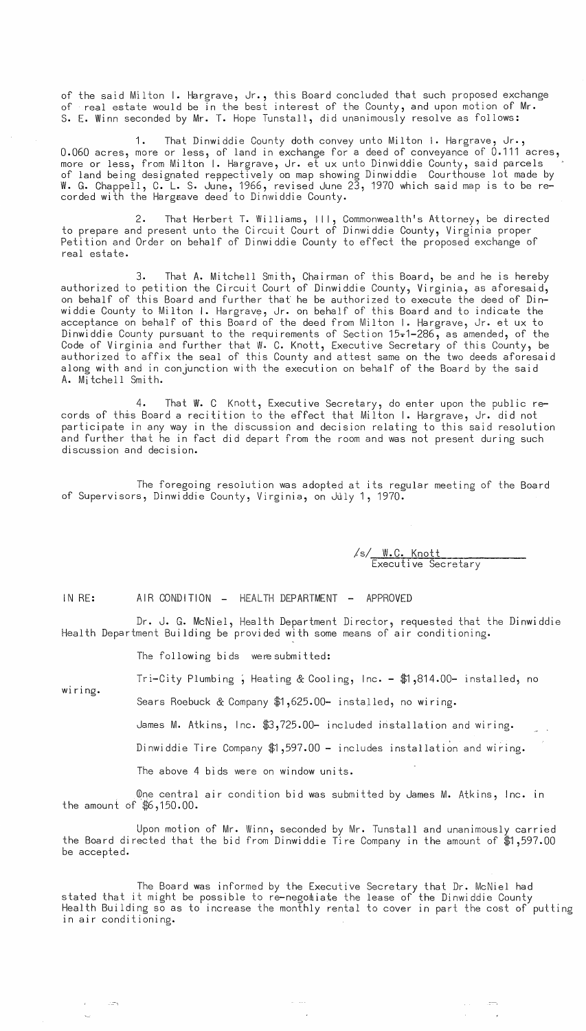of the said Milton I. Hargrave, Jr., this Board concluded that such proposed exchange of real estate would be in the best interest of the County, and upon motion of Mr. S. E. Winn seconded by Mr. T. Hope Tunstall, did unanimously resolve as follows:

1. That Dinwiddie County doth convey unto Milton I. Hargrave, Jr., 0.060 acres, more or less, of land in exchange for a deed of conveyance of 0.111 acres, more or less, from Milton I. Hargrave, Jr. et ux unto Dinwiddie County, said parcels of land being designated respectively on map showing Dinwiddie Courthouse lot made by W. G. Chappell, C. L. S. June, 1966, revised June 23, 1970 which said map is to be recorded with the Hargaave deed to Dinwiddie County.

2. That Herbert T. Williams, III, Commonwealth's Attorney, be directed to prepare and present unto the Circuit Court of Dinwiddie County, Virginia proper Petition and Order on behalf of Dinwiddie County to effect the proposed exchange of real estate.

3. That A. Mitchell Smith, Chairman of this Board, be and he is hereby authorized to petition the Circuit Court of Dinwiddie County, Virginia, as aforesaid, on behalf of this Board and further that he be authorized to execute the deed of Dinwiddie County to Milton I. Hargrave, Jr. on behalf of this Board and to indicate the acceptance on behalf of this Board of the deed from Milton I. Hargrave, Jr. et ux to Dinwiddie County pursuant to the requirements of Section 15-1-286, as amended, of the Code of Virginia and further that W. C. Knott, Executive Secretary of this County, be authorized to affix the seal of this County and attest same on the two deeds aforesaid along with and in conjunction with the execution on behalf of the Board by the said A. Mitchell Smith.

4. That *W.* C Knott, Executive Secretary, do enter upon the public records of this Board a recitition to the effect that Milton I. Hargrave, Jr. did not participate in any way in the discussion and decision relating to this said resolution and further that he in fact did depart from the room and was not present during such discussion and decision.

The foregoing resolution was adopted at its regular meeting of the Board of Supervisors, Dinwiddie County, Virginia, on July 1, 1970.

> /s/ W.C. Knott Executive Secretary

> > --,

IN RE:

AIR CONDITION - HEALTH DEPARTMENT - APPROVED

Dr. J. G. McNiel, Health Department Director, requested that the Dinwiddie Health Department Building be provided with some means of air conditioning.

The following bids were submitted:

Tri-City Plumbing; Heating & Cooling, Inc. - \$1,814.00- installed, no

wiring.

 $\sim$   $\sim$   $\sim$ 

Sears Roebuck & Company \$1,625.00- installed, no wiring.

James M. Atkins, Inc. \$3,725.00- included installation and wiring.

Dinwiddie Tire Company \$1,597.00 - includes installation and wiring.

The above 4 bids were on window units.

One central air condition bid was submitted by James M. Atkins, Inc. in the amount of \$6,150.00.

Upon motion of Mr. Winn, seconded by Mr. Tunstall and unanimously carried the Board directed that the bid from Dinwiddie Tire Company in the amount of \$1,597.00 be accepted.

stated that it might be possible to re-negotiate the lease of the Dinwiddie County Health Building so as to increase the monthly rental to cover in part the cost of putting in air conditioning. The Board was informed by the Executive Secretary that Dr. McNiel had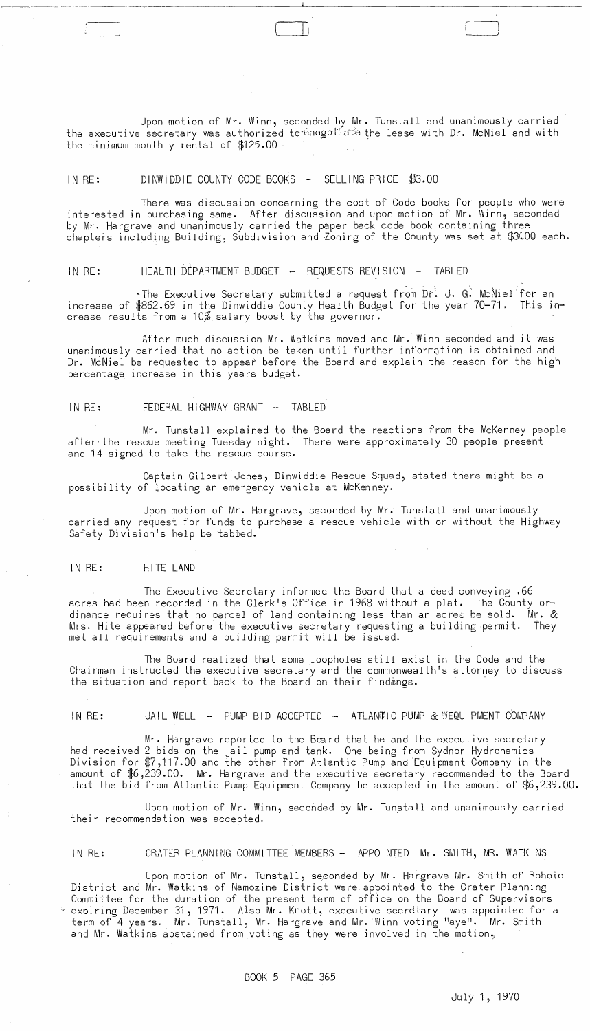Upon motion of Mr. Winn, seconded by Mr. Tunstall and unanimously carried the executive secretary was authorized torenegotiate the lease with Dr. McNiel and with the minimum monthly rental of \$125.00

 $\mathbb{L}$ 

## IN RE: DINWIDDIE COUNTY CODE BOOKS - SELLING PRICE \$3.00

There was discussion concerning the cost of Code books for people who were interested in purchasing same. After discussion and upon motion of Mr. Winn, seconded by Mr. Hargrave and unanimously carried the paper back code book containing three chapters including Building, Subdivision and Zoning of the County was set at \$3WQ each.

IN RE: HEALTH DEPARTMENT BUDGET - REQUESTS REVISION - TABLED

~The Executive Secretary submitted a request from Dr. J. G. McNiel for an increase of \$862.69 in the Dinwiddie County Health Budget for the year 70-71. This in- crease results from a 10% salary boost by the governor.

After much discussion Mr. Watkins moved and Mr. Winn seconded and it was unanimously carried that no action be taken until further information is obtained and Dr. McNiel be requested to appear before the Board and explain the reason for the high percentage increase in this years budget.

IN RE: FEDERAL HIGHWAY GRANT **..** TABLED

Mr. Tunstall explained to the Board the reactions from the McKenney people after' the rescue meeting Tuesday night. There were approximately 30 people present and 14 signed to take the rescue course.

Captain Gilbert Jones, Dinwiddie Rescue Squad, stated there might be a possibility of locating an emergency vehicle at McKenney.

Upon motion of Mr. Hargrave, seconded by Mr.' Tunstall and unanimously carried any request for funds to purchase a rescue vehicle with or without the Highway Safety Division's help be tabbed.

## IN RE: HITE LAND

The Executive Secretary informed the Board that a deed conveying .66 acres had been recorded in the Clerk's Office in 1968 without a plat. The County ordinance requires that no parcel of land containing less than an acres be sold. Mr. & Mrs. Hite appeared before the executive secretary requesting a building .permit. They met all requirements and a building permit will be issued.

The Board realized that some ,loopholes still exist in the Code and the Chairman instructed the executive secretary and the commonwealth's attorney to discuss the situation and report back to the Board on their findings.

IN RE: JAIL WELL - PUMP BID ACCEPTED - ATLANTIC PUMP & SEQUIPMENT COMPANY

Mr. Hargrave reported to the Bœrd that he and the executive secretary had received 2 bids on the  $\mathrm{j}$ ail pump and tank. One being from Sydnor Hydronamics Division for \$7,117.00 and the other from Atlantic Pump and Equipment Company in the amount of \$6,239.00. Mr. Hargrave and the executive secretary recommended to the Board that the bid from Atlantic Pump Equipment Company be accepted in the amount of \$6,239.00.

Upon motion of Mr. Winn, seconded by Mr. Tunstall and unanimously carried their recommendation was accepted.

# IN RE: CRATER PLANNING COMMITTEE MEMBERS - APPOINTED Mr. SMITH, MR. WATKINS

Upon motion of Mr. Tunstall, seconded by Mr. Hargrave Mr. Smith of Rohoic District and Mr. Watkins of Namozine District were appointed to the Crater Planning Committee for the duration of the present term of office on the Board of Supervisors  $\sim$  expiring December 31, 1971. Also Mr. Knott, executive secretary was appointed for a term of 4 years. Mr. Tunstall, Mr. Hargrave and Mr. Winn voting "aye". Mr. Smith and Mr. Watkins abstained from voting as they were involved in the motion,